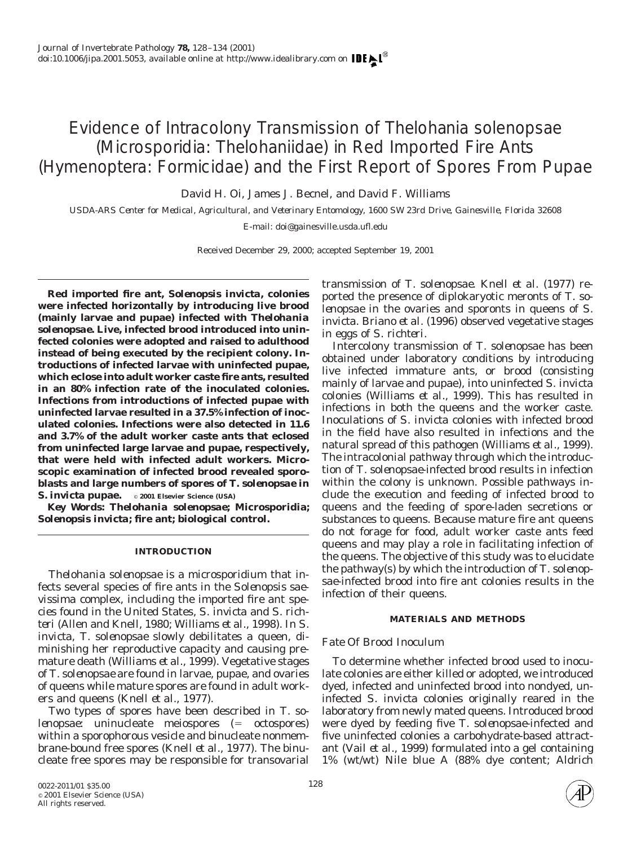# Evidence of Intracolony Transmission of *Thelohania solenopsae* (Microsporidia: Thelohaniidae) in Red Imported Fire Ants (Hymenoptera: Formicidae) and the First Report of Spores From Pupae

David H. Oi, James J. Becnel, and David F. Williams

*USDA-ARS Center for Medical, Agricultural, and Veterinary Entomology, 1600 SW 23rd Drive, Gainesville, Florida 32608* E-mail: doi@gainesville.usda.ufl.edu

Received December 29, 2000; accepted September 19, 2001

**Red imported fire ant,** *Solenopsis invicta,* **colonies were infected horizontally by introducing live brood (mainly larvae and pupae) infected with** *Thelohania solenopsae***. Live, infected brood introduced into uninfected colonies were adopted and raised to adulthood instead of being executed by the recipient colony. Introductions of infected larvae with uninfected pupae, which eclose into adult worker caste fire ants, resulted in an 80% infection rate of the inoculated colonies. Infections from introductions of infected pupae with uninfected larvae resulted in a 37.5% infection of inoculated colonies. Infections were also detected in 11.6 and 3.7% of the adult worker caste ants that eclosed from uninfected large larvae and pupae, respectively, that were held with infected adult workers. Microscopic examination of infected brood revealed sporoblasts and large numbers of spores of** *T. solenopsae* **in** *S. invicta* **pupae.** © **2001 Elsevier Science (USA)**

*Key Words: Thelohania solenopsae***; Microsporidia;** *Solenopsis invicta;* **fire ant; biological control.**

#### **INTRODUCTION**

*Thelohania solenopsae* is a microsporidium that infects several species of fire ants in the *Solenopsis saevissima* complex, including the imported fire ant species found in the United States, *S. invicta* and *S. richteri* (Allen and Knell, 1980; Williams *et al.,* 1998). In *S. invicta*, *T. solenopsae* slowly debilitates a queen, diminishing her reproductive capacity and causing premature death (Williams *et al.,* 1999). Vegetative stages of *T. solenopsae* are found in larvae, pupae, and ovaries of queens while mature spores are found in adult workers and queens (Knell *et al.,* 1977).

Two types of spores have been described in *T. solenopsae*: uninucleate meiospores (= octospores) within a sporophorous vesicle and binucleate nonmembrane-bound free spores (Knell *et al.,* 1977). The binucleate free spores may be responsible for transovarial transmission of *T. solenopsae*. Knell *et al.* (1977) reported the presence of diplokaryotic meronts of *T. solenopsae* in the ovaries and sporonts in queens of *S. invicta*. Briano *et al.* (1996) observed vegetative stages in eggs of *S. richteri*.

Intercolony transmission of *T. solenopsae* has been obtained under laboratory conditions by introducing live infected immature ants, or brood (consisting mainly of larvae and pupae), into uninfected *S. invicta* colonies (Williams *et al.,* 1999). This has resulted in infections in both the queens and the worker caste. Inoculations of *S. invicta* colonies with infected brood in the field have also resulted in infections and the natural spread of this pathogen (Williams *et al.,* 1999). The intracolonial pathway through which the introduction of *T. solenopsae*-infected brood results in infection within the colony is unknown. Possible pathways include the execution and feeding of infected brood to queens and the feeding of spore-laden secretions or substances to queens. Because mature fire ant queens do not forage for food, adult worker caste ants feed queens and may play a role in facilitating infection of the queens. The objective of this study was to elucidate the pathway(s) by which the introduction of *T. solenopsae*-infected brood into fire ant colonies results in the infection of their queens.

## **MATERIALS AND METHODS**

## *Fate Of Brood Inoculum*

To determine whether infected brood used to inoculate colonies are either killed or adopted, we introduced dyed, infected and uninfected brood into nondyed, uninfected *S. invicta* colonies originally reared in the laboratory from newly mated queens. Introduced brood were dyed by feeding five *T. solenopsae*-infected and five uninfected colonies a carbohydrate-based attractant (Vail *et al.,* 1999) formulated into a gel containing 1% (wt/wt) Nile blue A (88% dye content; Aldrich

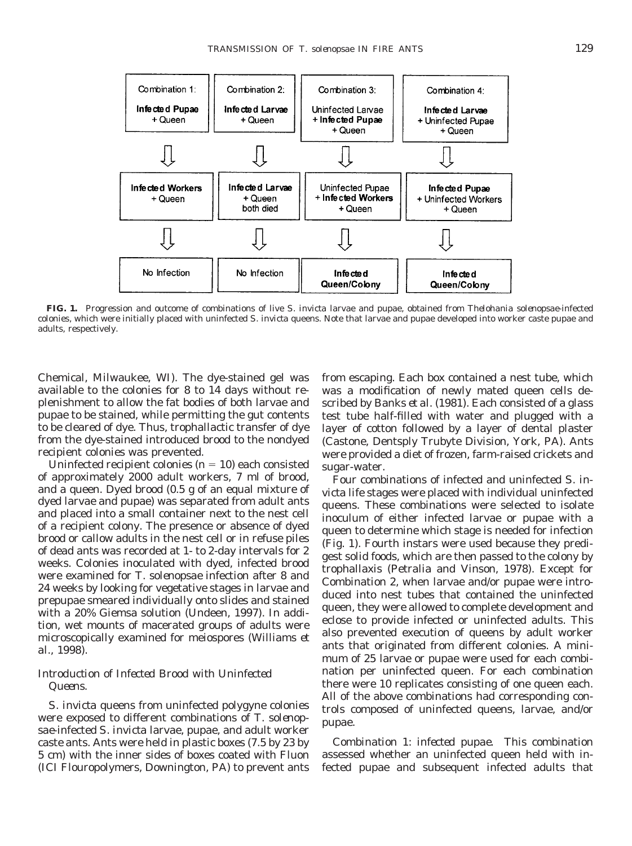

**FIG. 1.** Progression and outcome of combinations of live *S. invicta* larvae and pupae, obtained from *Thelohania solenopsae*-infected colonies, which were initially placed with uninfected *S. invicta* queens. Note that larvae and pupae developed into worker caste pupae and adults, respectively.

Chemical, Milwaukee, WI). The dye-stained gel was available to the colonies for 8 to 14 days without replenishment to allow the fat bodies of both larvae and pupae to be stained, while permitting the gut contents to be cleared of dye. Thus, trophallactic transfer of dye from the dye-stained introduced brood to the nondyed recipient colonies was prevented.

Uninfected recipient colonies  $(n = 10)$  each consisted of approximately 2000 adult workers, 7 ml of brood, and a queen. Dyed brood (0.5 g of an equal mixture of dyed larvae and pupae) was separated from adult ants and placed into a small container next to the nest cell of a recipient colony. The presence or absence of dyed brood or callow adults in the nest cell or in refuse piles of dead ants was recorded at 1- to 2-day intervals for 2 weeks. Colonies inoculated with dyed, infected brood were examined for *T. solenopsae* infection after 8 and 24 weeks by looking for vegetative stages in larvae and prepupae smeared individually onto slides and stained with a 20% Giemsa solution (Undeen, 1997). In addition, wet mounts of macerated groups of adults were microscopically examined for meiospores (Williams *et al.,* 1998).

# *Introduction of Infected Brood with Uninfected Queens.*

*S. invicta* queens from uninfected polygyne colonies were exposed to different combinations of *T. solenopsae*-infected *S. invicta* larvae, pupae, and adult worker caste ants. Ants were held in plastic boxes (7.5 by 23 by 5 cm) with the inner sides of boxes coated with Fluon (ICI Flouropolymers, Downington, PA) to prevent ants

from escaping. Each box contained a nest tube, which was a modification of newly mated queen cells described by Banks *et al.* (1981). Each consisted of a glass test tube half-filled with water and plugged with a layer of cotton followed by a layer of dental plaster (Castone, Dentsply Trubyte Division, York, PA). Ants were provided a diet of frozen, farm-raised crickets and sugar-water.

Four combinations of infected and uninfected *S. invicta* life stages were placed with individual uninfected queens. These combinations were selected to isolate inoculum of either infected larvae or pupae with a queen to determine which stage is needed for infection (Fig. 1). Fourth instars were used because they predigest solid foods, which are then passed to the colony by trophallaxis (Petralia and Vinson, 1978). Except for Combination 2, when larvae and/or pupae were introduced into nest tubes that contained the uninfected queen, they were allowed to complete development and eclose to provide infected or uninfected adults. This also prevented execution of queens by adult worker ants that originated from different colonies. A minimum of 25 larvae or pupae were used for each combination per uninfected queen. For each combination there were 10 replicates consisting of one queen each. All of the above combinations had corresponding controls composed of uninfected queens, larvae, and/or pupae.

*Combination 1: infected pupae.* This combination assessed whether an uninfected queen held with infected pupae and subsequent infected adults that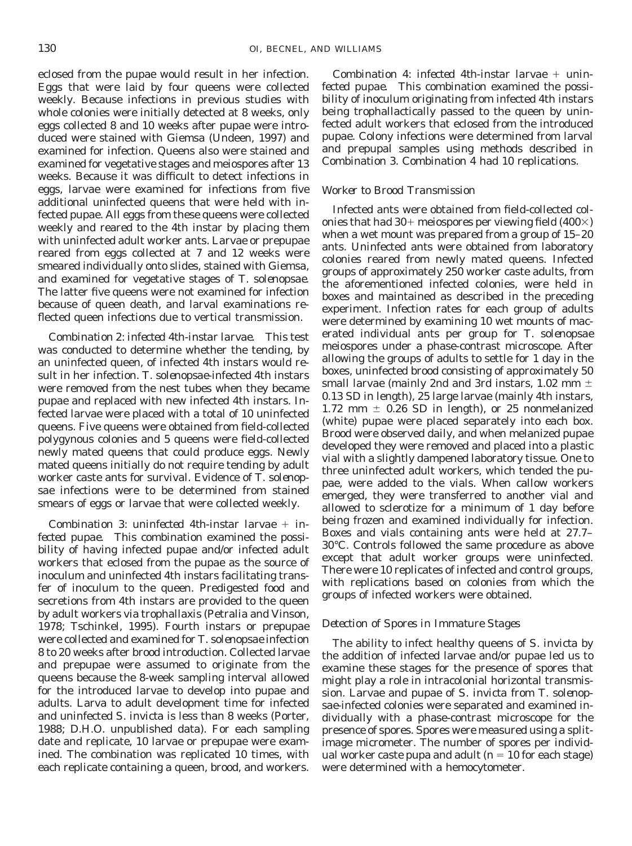eclosed from the pupae would result in her infection. Eggs that were laid by four queens were collected weekly. Because infections in previous studies with whole colonies were initially detected at 8 weeks, only eggs collected 8 and 10 weeks after pupae were introduced were stained with Giemsa (Undeen, 1997) and examined for infection. Queens also were stained and examined for vegetative stages and meiospores after 13 weeks. Because it was difficult to detect infections in eggs, larvae were examined for infections from five additional uninfected queens that were held with infected pupae. All eggs from these queens were collected weekly and reared to the 4th instar by placing them with uninfected adult worker ants. Larvae or prepupae reared from eggs collected at 7 and 12 weeks were smeared individually onto slides, stained with Giemsa, and examined for vegetative stages of *T. solenopsae*. The latter five queens were not examined for infection because of queen death, and larval examinations reflected queen infections due to vertical transmission.

*Combination 2: infected 4th-instar larvae.* This test was conducted to determine whether the tending, by an uninfected queen, of infected 4th instars would result in her infection. *T. solenopsae*-infected 4th instars were removed from the nest tubes when they became pupae and replaced with new infected 4th instars. Infected larvae were placed with a total of 10 uninfected queens. Five queens were obtained from field-collected polygynous colonies and 5 queens were field-collected newly mated queens that could produce eggs. Newly mated queens initially do not require tending by adult worker caste ants for survival. Evidence of *T. solenopsae* infections were to be determined from stained smears of eggs or larvae that were collected weekly.

*Combination 3: uninfected 4th-instar larvae* + *infected pupae.* This combination examined the possibility of having infected pupae and/or infected adult workers that eclosed from the pupae as the source of inoculum and uninfected 4th instars facilitating transfer of inoculum to the queen. Predigested food and secretions from 4th instars are provided to the queen by adult workers via trophallaxis (Petralia and Vinson, 1978; Tschinkel, 1995). Fourth instars or prepupae were collected and examined for *T. solenopsae* infection 8 to 20 weeks after brood introduction. Collected larvae and prepupae were assumed to originate from the queens because the 8-week sampling interval allowed for the introduced larvae to develop into pupae and adults. Larva to adult development time for infected and uninfected *S. invicta* is less than 8 weeks (Porter, 1988; D.H.O. unpublished data). For each sampling date and replicate, 10 larvae or prepupae were examined. The combination was replicated 10 times, with each replicate containing a queen, brood, and workers.

*Combination 4: infected 4th-instar larvae* + *uninfected pupae.* This combination examined the possibility of inoculum originating from infected 4th instars being trophallactically passed to the queen by uninfected adult workers that eclosed from the introduced pupae. Colony infections were determined from larval and prepupal samples using methods described in Combination 3. Combination 4 had 10 replications.

## *Worker to Brood Transmission*

Infected ants were obtained from field-collected colonies that had  $30+$  meiospores per viewing field (400 $\times$ ) when a wet mount was prepared from a group of 15–20 ants. Uninfected ants were obtained from laboratory colonies reared from newly mated queens. Infected groups of approximately 250 worker caste adults, from the aforementioned infected colonies, were held in boxes and maintained as described in the preceding experiment. Infection rates for each group of adults were determined by examining 10 wet mounts of macerated individual ants per group for *T. solenopsae* meiospores under a phase-contrast microscope. After allowing the groups of adults to settle for 1 day in the boxes, uninfected brood consisting of approximately 50 small larvae (mainly 2nd and 3rd instars, 1.02 mm  $\pm$ 0.13 SD in length), 25 large larvae (mainly 4th instars, 1.72 mm  $\pm$  0.26 SD in length), or 25 nonmelanized (white) pupae were placed separately into each box. Brood were observed daily, and when melanized pupae developed they were removed and placed into a plastic vial with a slightly dampened laboratory tissue. One to three uninfected adult workers, which tended the pupae, were added to the vials. When callow workers emerged, they were transferred to another vial and allowed to sclerotize for a minimum of 1 day before being frozen and examined individually for infection. Boxes and vials containing ants were held at 27.7– 30°C. Controls followed the same procedure as above except that adult worker groups were uninfected. There were 10 replicates of infected and control groups, with replications based on colonies from which the groups of infected workers were obtained.

#### *Detection of Spores in Immature Stages*

The ability to infect healthy queens of *S. invicta* by the addition of infected larvae and/or pupae led us to examine these stages for the presence of spores that might play a role in intracolonial horizontal transmission. Larvae and pupae of *S. invicta* from *T. solenopsae*-infected colonies were separated and examined individually with a phase-contrast microscope for the presence of spores. Spores were measured using a splitimage micrometer. The number of spores per individual worker caste pupa and adult  $(n = 10$  for each stage) were determined with a hemocytometer.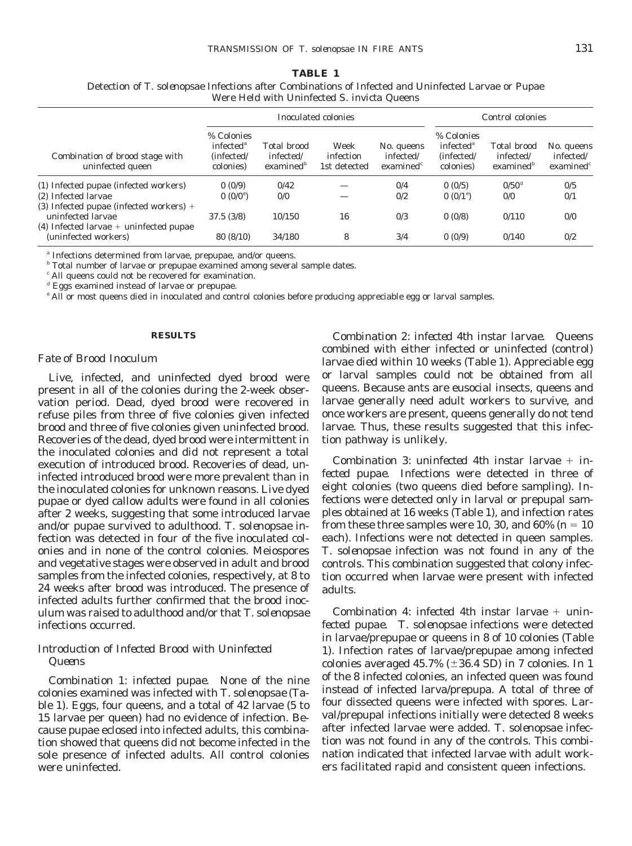### **TABLE 1**

Detection of *T. solenopsae* Infections after Combinations of Infected and Uninfected Larvae or Pupae Were Held with Uninfected *S. invicta* Queens

|                                                                                                            |                                                                |                                           | Inoculated colonies               | Control colonies                                      |                                                                |                                                                   |                                          |
|------------------------------------------------------------------------------------------------------------|----------------------------------------------------------------|-------------------------------------------|-----------------------------------|-------------------------------------------------------|----------------------------------------------------------------|-------------------------------------------------------------------|------------------------------------------|
| Combination of brood stage with<br>uninfected queen                                                        | % Colonies<br>infected <sup>a</sup><br>(infected/<br>colonies) | Total brood<br>infected/<br>examined $^b$ | Week<br>infection<br>1st detected | No. queens<br>infected/<br>$\alpha$ examined $\alpha$ | % Colonies<br>infected <sup>a</sup><br>(infected/<br>colonies) | <b>Total brood</b><br>infected/<br>$\alpha$ examined <sup>b</sup> | No. queens<br>infected/<br>examined $^c$ |
| (1) Infected pupae (infected workers)                                                                      | 0(0/9)                                                         | 0/42                                      |                                   | 0/4                                                   | 0(0/5)                                                         | $0/50^{d}$                                                        | 0/5                                      |
| (2) Infected larvae                                                                                        | $0(0/0^{\circ})$                                               | 0/0                                       |                                   | 0/2                                                   | 0 $(0/1)$ <sup>e</sup>                                         | 0/0                                                               | 0/1                                      |
| (3) Infected pupae (infected workers) $+$<br>uninfected larvae<br>$(4)$ Infected larvae + uninfected pupae | 37.5(3/8)                                                      | 10/150                                    | 16                                | 0/3                                                   | 0(0/8)                                                         | 0/110                                                             | 0/0                                      |
| (uninfected workers)                                                                                       | 80(8/10)                                                       | 34/180                                    | 8                                 | 3/4                                                   | 0(0/9)                                                         | 0/140                                                             | 0/2                                      |

*<sup>a</sup>* Infections determined from larvae, prepupae, and/or queens.

*<sup>b</sup>* Total number of larvae or prepupae examined among several sample dates.

*<sup>c</sup>* All queens could not be recovered for examination.

*<sup>d</sup>* Eggs examined instead of larvae or prepupae.

*<sup>e</sup>* All or most queens died in inoculated and control colonies before producing appreciable egg or larval samples.

#### **RESULTS**

#### *Fate of Brood Inoculum*

Live, infected, and uninfected dyed brood were present in all of the colonies during the 2-week observation period. Dead, dyed brood were recovered in refuse piles from three of five colonies given infected brood and three of five colonies given uninfected brood. Recoveries of the dead, dyed brood were intermittent in the inoculated colonies and did not represent a total execution of introduced brood. Recoveries of dead, uninfected introduced brood were more prevalent than in the inoculated colonies for unknown reasons. Live dyed pupae or dyed callow adults were found in all colonies after 2 weeks, suggesting that some introduced larvae and/or pupae survived to adulthood. *T. solenopsae* infection was detected in four of the five inoculated colonies and in none of the control colonies. Meiospores and vegetative stages were observed in adult and brood samples from the infected colonies, respectively, at 8 to 24 weeks after brood was introduced. The presence of infected adults further confirmed that the brood inoculum was raised to adulthood and/or that *T. solenopsae* infections occurred.

# *Introduction of Infected Brood with Uninfected Queens*

*Combination 1: infected pupae.* None of the nine colonies examined was infected with *T. solenopsae* (Table 1). Eggs, four queens, and a total of 42 larvae (5 to 15 larvae per queen) had no evidence of infection. Because pupae eclosed into infected adults, this combination showed that queens did not become infected in the sole presence of infected adults. All control colonies were uninfected.

*Combination 2: infected 4th instar larvae.* Queens combined with either infected or uninfected (control) larvae died within 10 weeks (Table 1). Appreciable egg or larval samples could not be obtained from all queens. Because ants are eusocial insects, queens and larvae generally need adult workers to survive, and once workers are present, queens generally do not tend larvae. Thus, these results suggested that this infection pathway is unlikely.

*Combination 3: uninfected 4th instar larvae* + *infected pupae.* Infections were detected in three of eight colonies (two queens died before sampling). Infections were detected only in larval or prepupal samples obtained at 16 weeks (Table 1), and infection rates from these three samples were 10, 30, and  $60\%$  ( $n = 10$ ) each). Infections were not detected in queen samples. *T. solenopsae* infection was not found in any of the controls. This combination suggested that colony infection occurred when larvae were present with infected adults.

*Combination 4: infected 4th instar larvae* + *uninfected pupae. T. solenopsae* infections were detected in larvae/prepupae or queens in 8 of 10 colonies (Table 1). Infection rates of larvae/prepupae among infected colonies averaged 45.7%  $(\pm 36.4 \text{ SD})$  in 7 colonies. In 1 of the 8 infected colonies, an infected queen was found instead of infected larva/prepupa. A total of three of four dissected queens were infected with spores. Larval/prepupal infections initially were detected 8 weeks after infected larvae were added. *T. solenopsae* infection was not found in any of the controls. This combination indicated that infected larvae with adult workers facilitated rapid and consistent queen infections.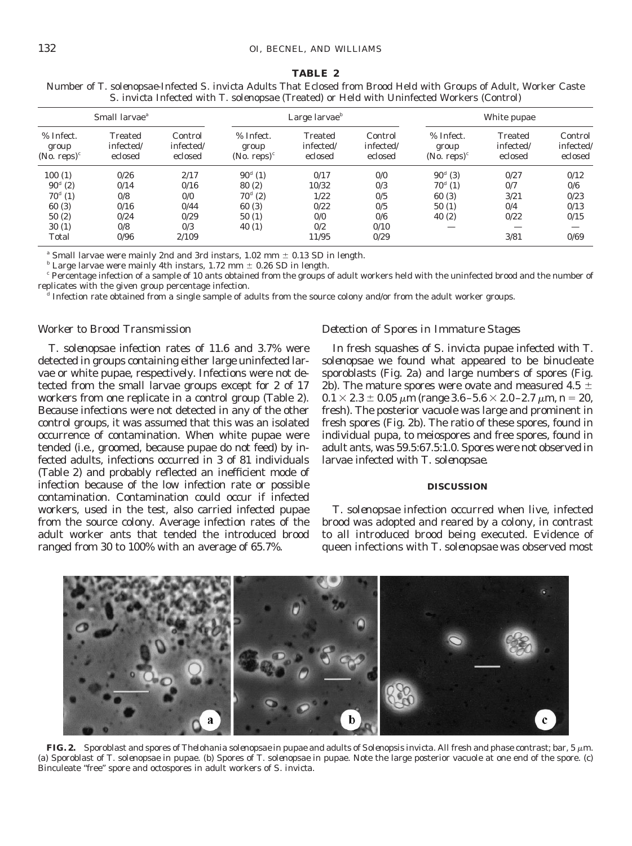#### **TABLE 2**

| Small larvae <sup>a</sup>            |                                 |                                 |                                                            | Large larvae $\iota$                   |                                 | White pupae                                                |                                        |                                 |
|--------------------------------------|---------------------------------|---------------------------------|------------------------------------------------------------|----------------------------------------|---------------------------------|------------------------------------------------------------|----------------------------------------|---------------------------------|
| % Infect.<br>group<br>(No. reps) $c$ | Treated<br>infected/<br>eclosed | Control<br>infected/<br>eclosed | % Infect.<br>group<br>(No. reps) <sup><math>c</math></sup> | <b>Treated</b><br>infected/<br>eclosed | Control<br>infected/<br>eclosed | % Infect.<br>group<br>(No. reps) <sup><math>c</math></sup> | <b>Treated</b><br>infected/<br>eclosed | Control<br>infected/<br>eclosed |
| 100(1)                               | 0/26                            | 2/17                            | $90^{d}$ (1)                                               | 0/17                                   | 0/0                             | $90^{d}$ (3)                                               | 0/27                                   | 0/12                            |
| $90^{d} (2)$                         | 0/14                            | 0/16                            | 80(2)                                                      | 10/32                                  | 0/3                             | $70^{d}(1)$                                                | 0/7                                    | 0/6                             |
| $70^{d}(1)$                          | 0/8                             | 0/0                             | $70^{d}$ (2)                                               | 1/22                                   | 0/5                             | 60(3)                                                      | 3/21                                   | 0/23                            |
| 60(3)                                | 0/16                            | 0/44                            | 60(3)                                                      | 0/22                                   | 0/5                             | 50(1)                                                      | 0/4                                    | 0/13                            |
| 50(2)                                | 0/24                            | 0/29                            | 50(1)                                                      | 0/0                                    | 0/6                             | 40(2)                                                      | 0/22                                   | 0/15                            |
| 30(1)                                | 0/8                             | 0/3                             | 40(1)                                                      | 0/2                                    | 0/10                            |                                                            |                                        |                                 |
| Total                                | 0/96                            | 2/109                           |                                                            | 11/95                                  | 0/29                            |                                                            | 3/81                                   | 0/69                            |

Number of *T. solenopsae*-Infected *S. invicta* Adults That Eclosed from Brood Held with Groups of Adult, Worker Caste *S. invicta* Infected with *T. solenopsae* (Treated) or Held with Uninfected Workers (Control)

<sup>a</sup> Small larvae were mainly 2nd and 3rd instars,  $1.02$  mm  $\pm$  0.13 SD in length.

 $<sup>b</sup>$  Large larvae were mainly 4th instars, 1.72 mm  $\pm$  0.26 SD in length.</sup>

*<sup>c</sup>* Percentage infection of a sample of 10 ants obtained from the groups of adult workers held with the uninfected brood and the number of replicates with the given group percentage infection.

*<sup>d</sup>* Infection rate obtained from a single sample of adults from the source colony and/or from the adult worker groups.

#### *Worker to Brood Transmission*

*T. solenopsae* infection rates of 11.6 and 3.7% were detected in groups containing either large uninfected larvae or white pupae, respectively. Infections were not detected from the small larvae groups except for 2 of 17 workers from one replicate in a control group (Table 2). Because infections were not detected in any of the other control groups, it was assumed that this was an isolated occurrence of contamination. When white pupae were tended (i.e., groomed, because pupae do not feed) by infected adults, infections occurred in 3 of 81 individuals (Table 2) and probably reflected an inefficient mode of infection because of the low infection rate or possible contamination. Contamination could occur if infected workers, used in the test, also carried infected pupae from the source colony. Average infection rates of the adult worker ants that tended the introduced brood ranged from 30 to 100% with an average of 65.7%.

#### *Detection of Spores in Immature Stages*

In fresh squashes of *S. invicta* pupae infected with *T. solenopsae* we found what appeared to be binucleate sporoblasts (Fig. 2a) and large numbers of spores (Fig. 2b). The mature spores were ovate and measured 4.5  $\pm$  $0.1 \times 2.3 \pm 0.05 \ \mu m$  (range  $3.6 - 5.6 \times 2.0 - 2.7 \ \mu m$ ,  $n = 20$ , fresh). The posterior vacuole was large and prominent in fresh spores (Fig. 2b). The ratio of these spores, found in individual pupa, to meiospores and free spores, found in adult ants, was 59.5:67.5:1.0. Spores were not observed in larvae infected with *T. solenopsae*.

#### **DISCUSSION**

*T. solenopsae* infection occurred when live, infected brood was adopted and reared by a colony, in contrast to all introduced brood being executed. Evidence of queen infections with *T. solenopsae* was observed most



**FIG. 2.** Sporoblast and spores of *Thelohania solenopsae* in pupae and adults of *Solenopsis invicta*. All fresh and phase contrast; bar, 5 <sup>m</sup>m. (a) Sporoblast of *T. solenopsae* in pupae. (b) Spores of *T. solenopsae* in pupae. Note the large posterior vacuole at one end of the spore. (c) Binculeate "free" spore and octospores in adult workers of *S. invicta*.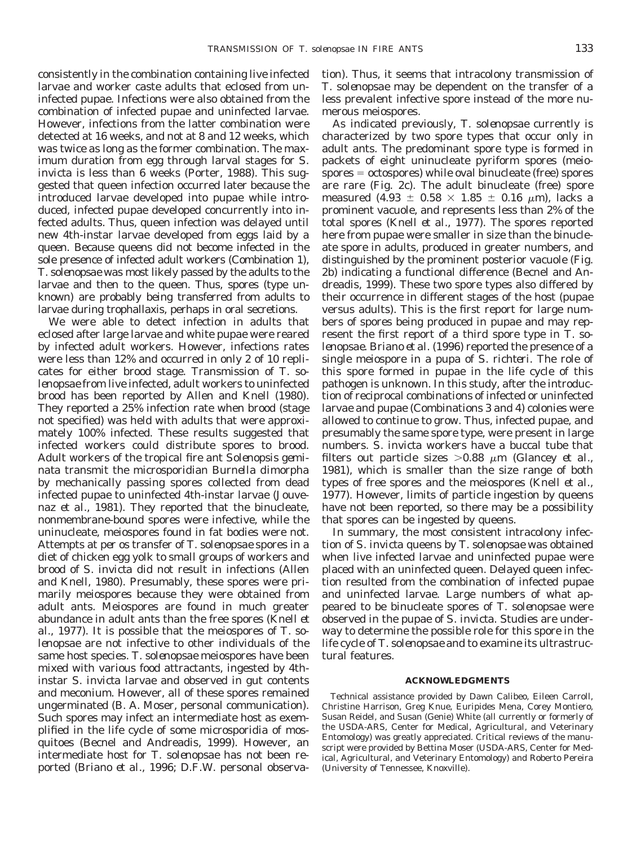consistently in the combination containing live infected larvae and worker caste adults that eclosed from uninfected pupae. Infections were also obtained from the combination of infected pupae and uninfected larvae. However, infections from the latter combination were detected at 16 weeks, and not at 8 and 12 weeks, which was twice as long as the former combination. The maximum duration from egg through larval stages for *S. invicta* is less than 6 weeks (Porter, 1988). This suggested that queen infection occurred later because the introduced larvae developed into pupae while introduced, infected pupae developed concurrently into infected adults. Thus, queen infection was delayed until new 4th-instar larvae developed from eggs laid by a queen. Because queens did not become infected in the sole presence of infected adult workers (Combination 1), *T. solenopsae* was most likely passed by the adults to the larvae and then to the queen. Thus, spores (type unknown) are probably being transferred from adults to larvae during trophallaxis, perhaps in oral secretions.

We were able to detect infection in adults that eclosed after large larvae and white pupae were reared by infected adult workers. However, infections rates were less than 12% and occurred in only 2 of 10 replicates for either brood stage. Transmission of *T. solenopsae* from live infected, adult workers to uninfected brood has been reported by Allen and Knell (1980). They reported a 25% infection rate when brood (stage not specified) was held with adults that were approximately 100% infected. These results suggested that infected workers could distribute spores to brood. Adult workers of the tropical fire ant *Solenopsis geminata* transmit the microsporidian *Burnella dimorpha* by mechanically passing spores collected from dead infected pupae to uninfected 4th-instar larvae (Jouvenaz *et al.,* 1981). They reported that the binucleate, nonmembrane-bound spores were infective, while the uninucleate, meiospores found in fat bodies were not. Attempts at *per os* transfer of *T. solenopsae* spores in a diet of chicken egg yolk to small groups of workers and brood of *S. invicta* did not result in infections (Allen and Knell, 1980). Presumably, these spores were primarily meiospores because they were obtained from adult ants. Meiospores are found in much greater abundance in adult ants than the free spores (Knell *et al.,* 1977). It is possible that the meiospores of *T. solenopsae* are not infective to other individuals of the same host species. *T. solenopsae* meiospores have been mixed with various food attractants, ingested by 4thinstar *S. invicta* larvae and observed in gut contents and meconium. However, all of these spores remained ungerminated (B. A. Moser, personal communication). Such spores may infect an intermediate host as exemplified in the life cycle of some microsporidia of mosquitoes (Becnel and Andreadis, 1999). However, an intermediate host for *T. solenopsae* has not been reported (Briano *et al.,* 1996; D.F.W. personal observation). Thus, it seems that intracolony transmission of *T. solenopsae* may be dependent on the transfer of a less prevalent infective spore instead of the more numerous meiospores.

As indicated previously, *T. solenopsae* currently is characterized by two spore types that occur only in adult ants. The predominant spore type is formed in packets of eight uninucleate pyriform spores (meio $s$  spores  $=$  octospores) while oval binucleate (free) spores are rare (Fig. 2c). The adult binucleate (free) spore measured (4.93  $\pm$  0.58  $\times$  1.85  $\pm$  0.16  $\mu$ m), lacks a prominent vacuole, and represents less than 2% of the total spores (Knell *et al.,* 1977). The spores reported here from pupae were smaller in size than the binucleate spore in adults, produced in greater numbers, and distinguished by the prominent posterior vacuole (Fig. 2b) indicating a functional difference (Becnel and Andreadis, 1999). These two spore types also differed by their occurrence in different stages of the host (pupae versus adults). This is the first report for large numbers of spores being produced in pupae and may represent the first report of a third spore type in *T. solenopsae*. Briano *et al.* (1996) reported the presence of a single meiospore in a pupa of *S. richteri*. The role of this spore formed in pupae in the life cycle of this pathogen is unknown. In this study, after the introduction of reciprocal combinations of infected or uninfected larvae and pupae (Combinations 3 and 4) colonies were allowed to continue to grow. Thus, infected pupae, and presumably the same spore type, were present in large numbers. *S. invicta* workers have a buccal tube that filters out particle sizes  $>0.88$   $\mu$ m (Glancey *et al.,* 1981), which is smaller than the size range of both types of free spores and the meiospores (Knell *et al.,* 1977). However, limits of particle ingestion by queens have not been reported, so there may be a possibility that spores can be ingested by queens.

In summary, the most consistent intracolony infection of *S. invicta* queens by *T. solenopsae* was obtained when live infected larvae and uninfected pupae were placed with an uninfected queen. Delayed queen infection resulted from the combination of infected pupae and uninfected larvae. Large numbers of what appeared to be binucleate spores of *T. solenopsae* were observed in the pupae of *S. invicta*. Studies are underway to determine the possible role for this spore in the life cycle of *T. solenopsae* and to examine its ultrastructural features.

#### **ACKNOWLEDGMENTS**

Technical assistance provided by Dawn Calibeo, Eileen Carroll, Christine Harrison, Greg Knue, Euripides Mena, Corey Montiero, Susan Reidel, and Susan (Genie) White (all currently or formerly of the USDA-ARS, Center for Medical, Agricultural, and Veterinary Entomology) was greatly appreciated. Critical reviews of the manuscript were provided by Bettina Moser (USDA-ARS, Center for Medical, Agricultural, and Veterinary Entomology) and Roberto Pereira (University of Tennessee, Knoxville).